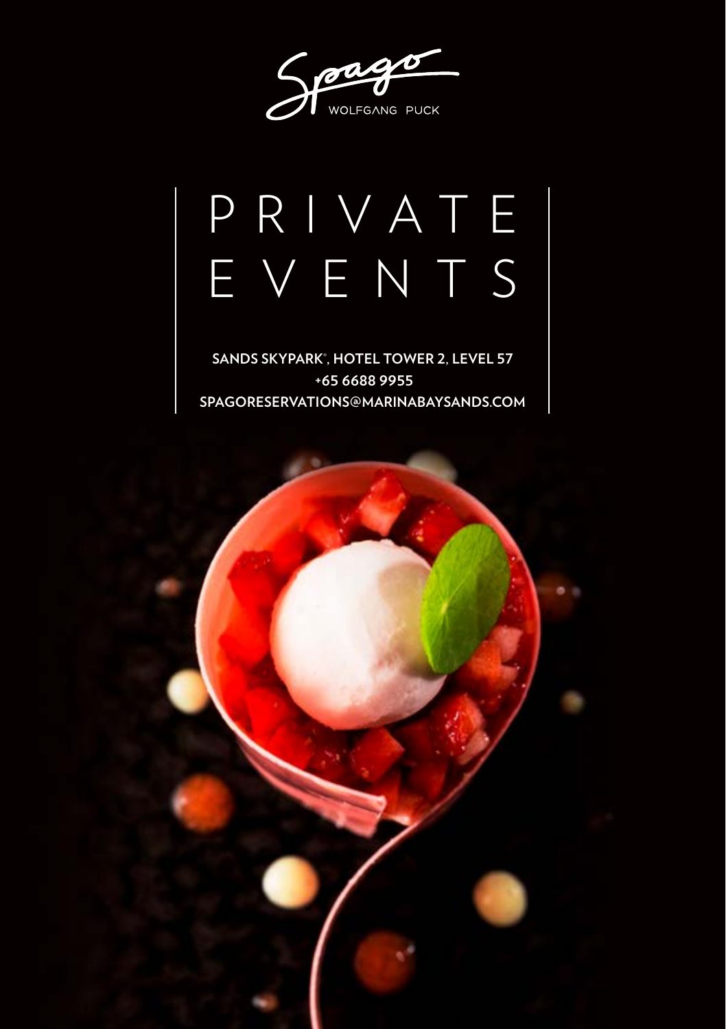Spage

# PRIVATE EVENTS

**SANDS SKYPARK® , HOTEL TOWER 2, LEVEL 57 +65 6688 9955 SPAGORESERVATIONS@MARINABAYSANDS.COM**

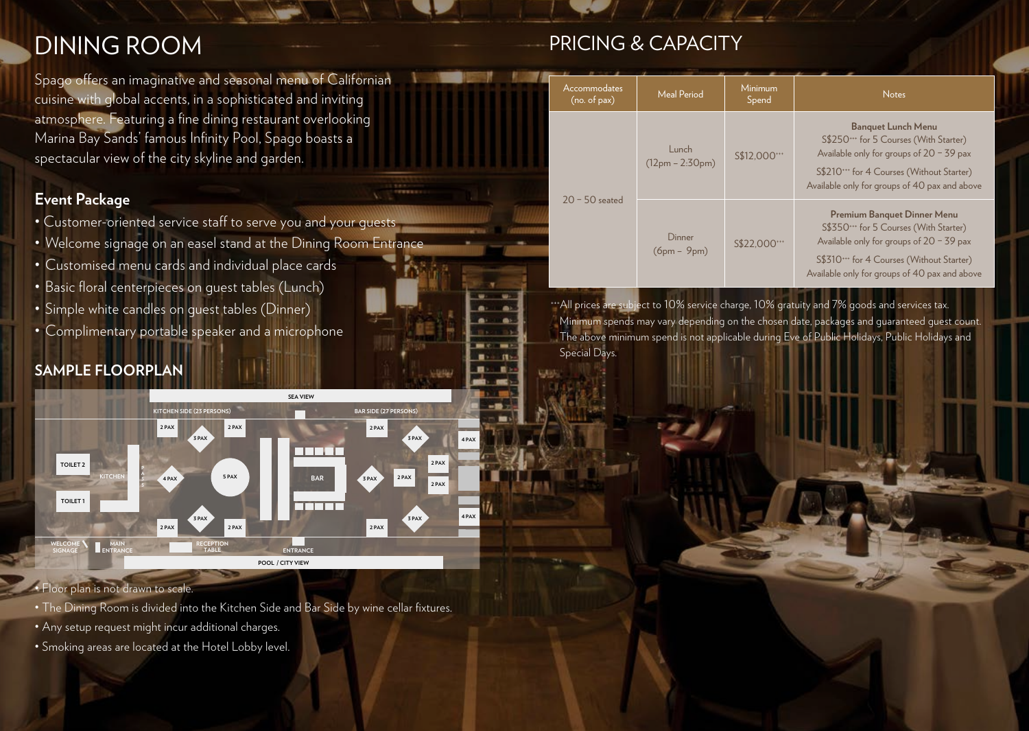# DINING ROOM

Spago offers an imaginative and seasonal menu of Californian cuisine with global accents, in a sophisticated and inviting atmosphere. Featuring a fine dining restaurant overlooking Marina Bay Sands' famous Infinity Pool, Spago boasts a spectacular view of the city skyline and garden.

### **Event Package**

- Customer-oriented service staff to serve you and your guests
- Welcome signage on an easel stand at the Dining Room Entrance
- Customised menu cards and individual place cards
- Basic floral centerpieces on guest tables (Lunch)
- Simple white candles on guest tables (Dinner)
- Complimentary portable speaker and a microphone

# **SAMPLE FLOORPLAN**



**LUGA** 

#### • Floor plan is not drawn to scale.

- The Dining Room is divided into the Kitchen Side and Bar Side by wine cellar fixtures.
- Any setup request might incur additional charges.
- Smoking areas are located at the Hotel Lobby level.

# PRICING & CAPACITY

| Accommodates<br>(no. of pax) | Meal Period                | Minimum<br>Spend | <b>Notes</b>                                                                                                                                                                                                      |  |
|------------------------------|----------------------------|------------------|-------------------------------------------------------------------------------------------------------------------------------------------------------------------------------------------------------------------|--|
| $20 - 50$ seated             | Lunch<br>$(12pm - 2:30pm)$ | S\$12.000***     | <b>Banquet Lunch Menu</b><br>S\$250*** for 5 Courses (With Starter)<br>Available only for groups of $20 - 39$ pax<br>S\$210*** for 4 Courses (Without Starter)<br>Available only for groups of 40 pax and above   |  |
|                              | Dinner<br>$(6pm - 9pm)$    | S\$22.000***     | Premium Banquet Dinner Menu<br>S\$350*** for 5 Courses (With Starter)<br>Available only for groups of $20 - 39$ pax<br>S\$310*** for 4 Courses (Without Starter)<br>Available only for groups of 40 pax and above |  |

<sup>+++</sup>All prices are subject to 10% service charge, 10% gratuity and 7% goods and services tax Minimum spends may vary depending on the chosen date, packages and guaranteed guest count. The above minimum spend is not applicable during Eve of Public Holidays, Public Holidays and Special Days.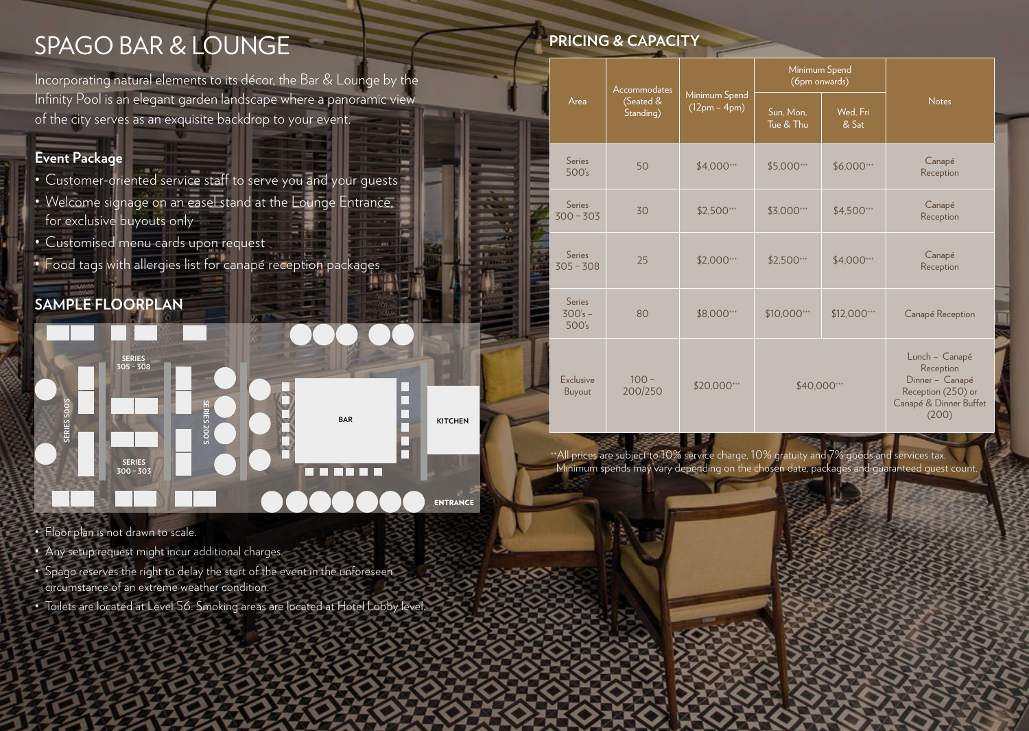# SPAGO BAR & LOUNGE

Incorporating natural elements to its décor, the Bar & Lounge by the Infinity Pool is an elegant garden landscape where a panoramic view of the city serves as an exquisite backdrop to your event.

### **Event Package**

- Customer-oriented service staff to serve you and your guests
- Welcome signage on an easel stand at the Lounge Entrance, for exclusive buyouts only
- Customised menu cards upon request
- Food tags with allergies list for canapé reception packages

# **SAMPLE FLOORPLAN**



- Floor plan is not drawn to scale.
- Any setup request might incur additional charges.
- Spago reserves the right to delay the start of the event in the unforeseen circumstance of an extreme weather condition.
- Toilets are located at Level 56. Smoking areas are located at Hotel Lobby level.

# **PRICING & CAPACITY**

|                              | Accommodates<br>(Seated &<br>Standing) | Minimum Spend<br>$(12pm - 4pm)$ | Minimum Spend<br>(6pm onwards) |                   |                                                                                                         |
|------------------------------|----------------------------------------|---------------------------------|--------------------------------|-------------------|---------------------------------------------------------------------------------------------------------|
| Area                         |                                        |                                 | Sun, Mon.<br>Tue & Thu         | Wed, Fri<br>& Sat | <b>Notes</b>                                                                                            |
| Series<br>500's              | 50                                     | \$4,000***                      | \$5,000***                     | \$6,000***        | Canapé<br>Reception                                                                                     |
| <b>Series</b><br>$300 - 303$ | 30                                     | \$2,500***                      | \$3,000***                     | \$4,500***        | Canapé<br>Reception                                                                                     |
| Series<br>$305 - 308$        | 25                                     | \$2,000***                      | \$2,500***                     | \$4,000***        | Canapé<br>Reception                                                                                     |
| Series<br>$300's -$<br>500's | 80                                     | \$8,000***                      | \$10,000***                    | \$12,000***       | Canapé Reception                                                                                        |
| Exclusive<br>Buyout          | $100 -$<br>200/250                     | \$20,000***                     | \$40,000***                    |                   | Lunch - Canapé<br>Reception<br>Dinner - Canapé<br>Reception (250) or<br>Canapé & Dinner Buffet<br>(200) |

 ++All prices are subject to 10% service charge, 10% gratuity and 7% goods and services tax. Minimum spends may vary depending on the chosen date, packages and guaranteed guest count.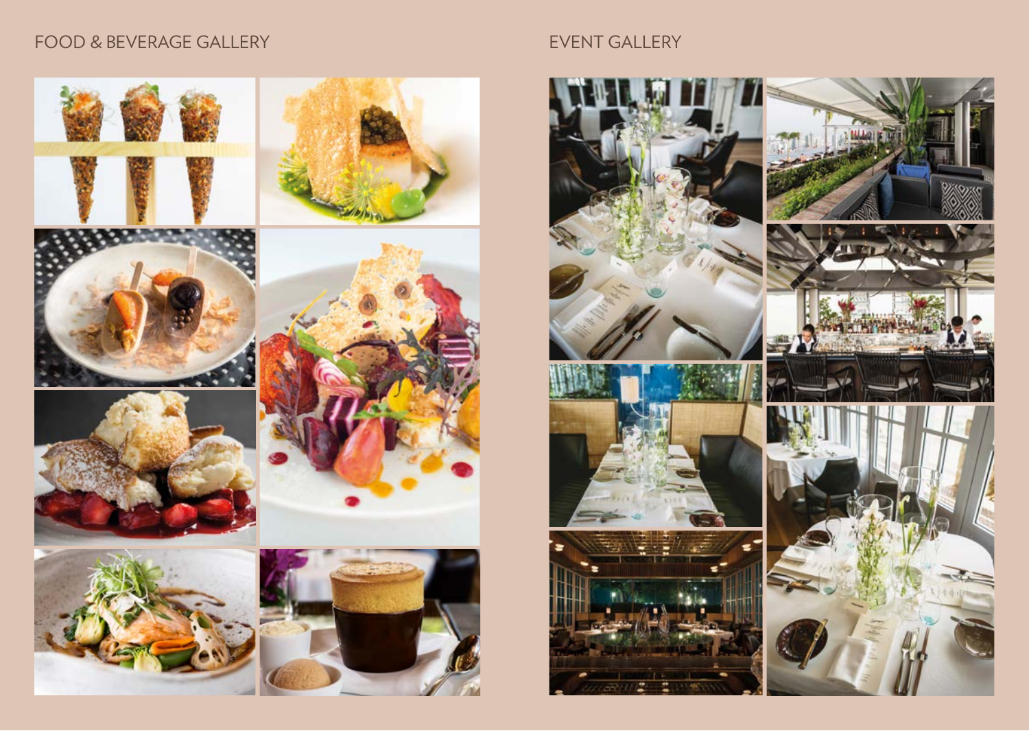# FOOD & BEVERAGE GALLERY EVENT GALLERY